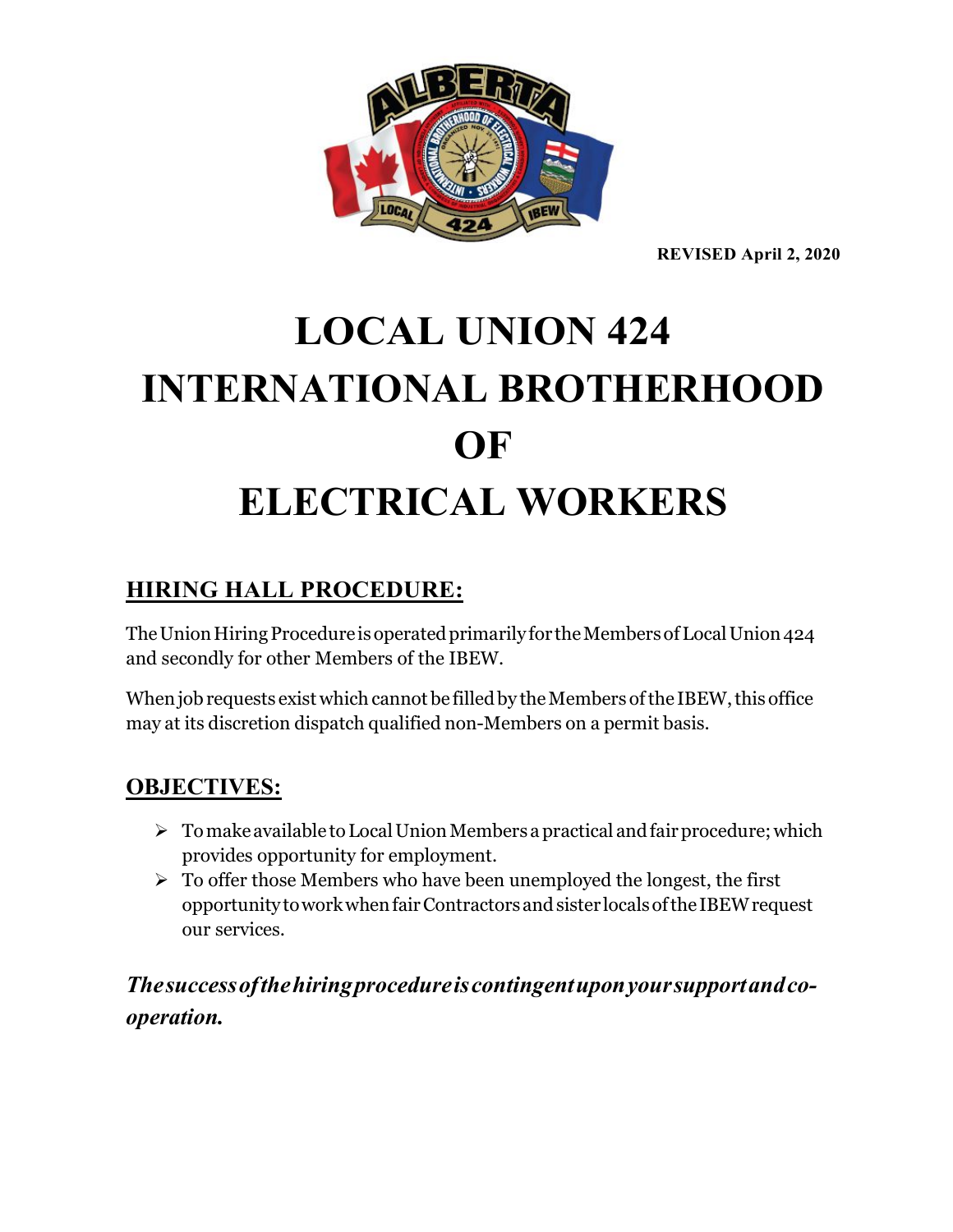

**REVISED April 2, 2020**

# **LOCAL UNION 424 INTERNATIONAL BROTHERHOOD OF ELECTRICAL WORKERS**

### **HIRING HALL PROCEDURE:**

The Union Hiring Procedure is operated primarily for the Members of Local Union 424 and secondly for other Members of the IBEW.

When job requests exist which cannot be filled by the Members of the IBEW, this office may at its discretion dispatch qualified non-Members on a permit basis.

#### **OBJECTIVES:**

- $\triangleright$  To make available to Local Union Members a practical and fair procedure; which provides opportunity for employment.
- $\triangleright$  To offer those Members who have been unemployed the longest, the first opportunitytoworkwhenfairContractorsandsister localsofthe IBEWrequest our services.

*Thesuccessofthehiringprocedureiscontingentuponyoursupportandcooperation.*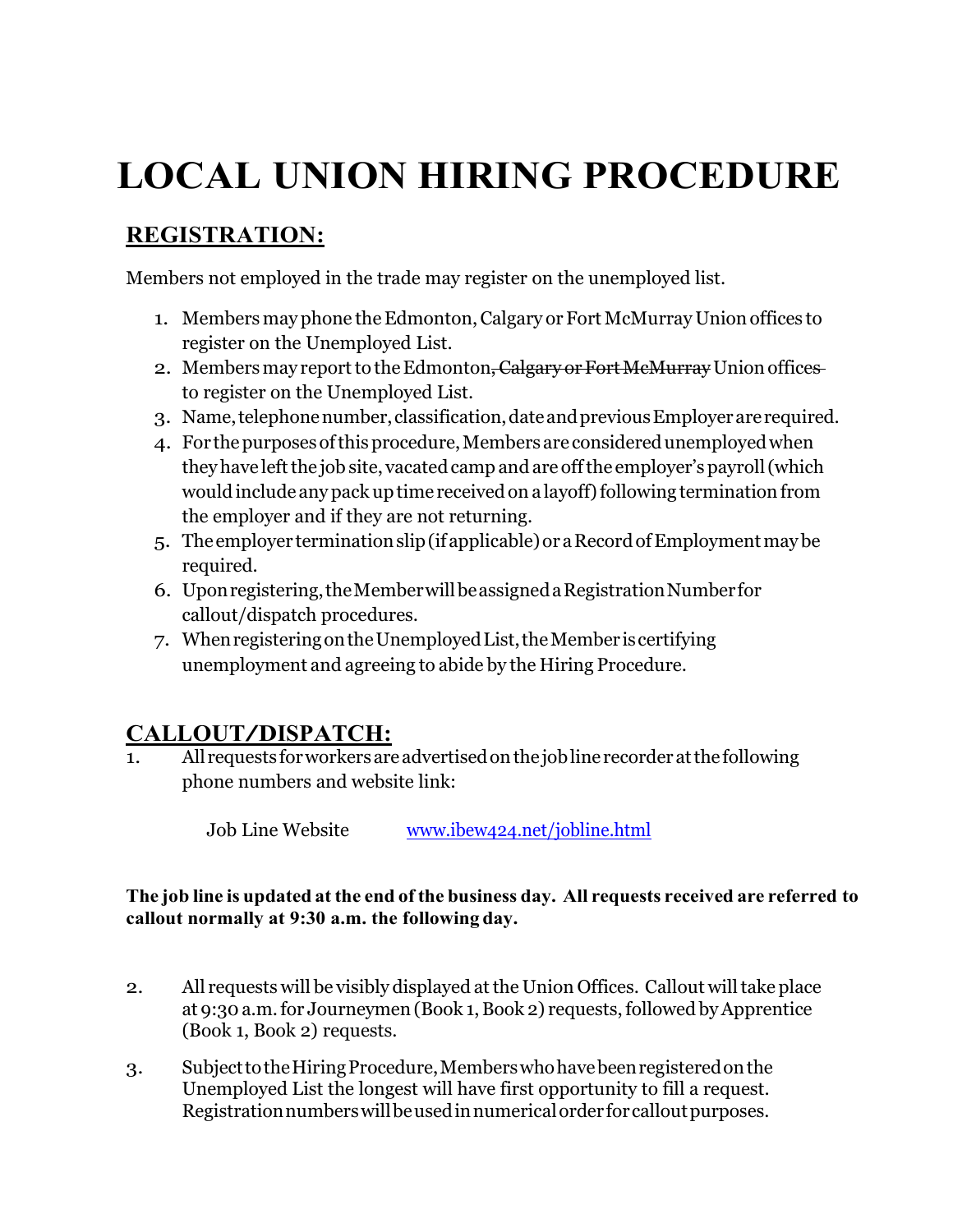## **LOCAL UNION HIRING PROCEDURE**

## **REGISTRATION:**

Members not employed in the trade may register on the unemployed list.

- 1. Members may phone the Edmonton, Calgary or Fort McMurray Union offices to register on the Unemployed List.
- 2. Members may report to the Edmonton, Calgary or Fort McMurray Union offices to register on the Unemployed List.
- 3. Name,telephonenumber,classification,dateandpreviousEmployerarerequired.
- 4. For the purposes of this procedure, Members are considered unemployed when they have left the job site, vacated camp and are off the employer's payroll (which would include any pack up time received on a layoff) following termination from the employer and if they are not returning.
- 5. Theemployer terminationslip(ifapplicable)or aRecordofEmploymentmaybe required.
- 6. Uponregistering,theMemberwillbeassignedaRegistrationNumberfor callout/dispatch procedures.
- 7. WhenregisteringontheUnemployedList,theMember iscertifying unemployment and agreeing to abide by the Hiring Procedure.

## **CALLOUT/DISPATCH:**

All requests for workers are advertised on the job line recorder at the following phone numbers and website link:

Job Line Website [www.ibew424.net/](http://www.ibew424.net/)jobline.html

#### **The job line is updated at the end of the business day. All requests received are referred to callout normally at 9:30 a.m. the following day.**

- 2. All requests will be visibly displayed atthe Union Offices. Callout willtake place at 9:30 a.m. for Journeymen (Book 1, Book 2) requests, followed by Apprentice (Book 1, Book 2) requests.
- 3. SubjecttotheHiringProcedure,Memberswhohavebeenregisteredonthe Unemployed List the longest will have first opportunity to fill a request. Registrationnumberswillbeusedinnumericalorderforcalloutpurposes.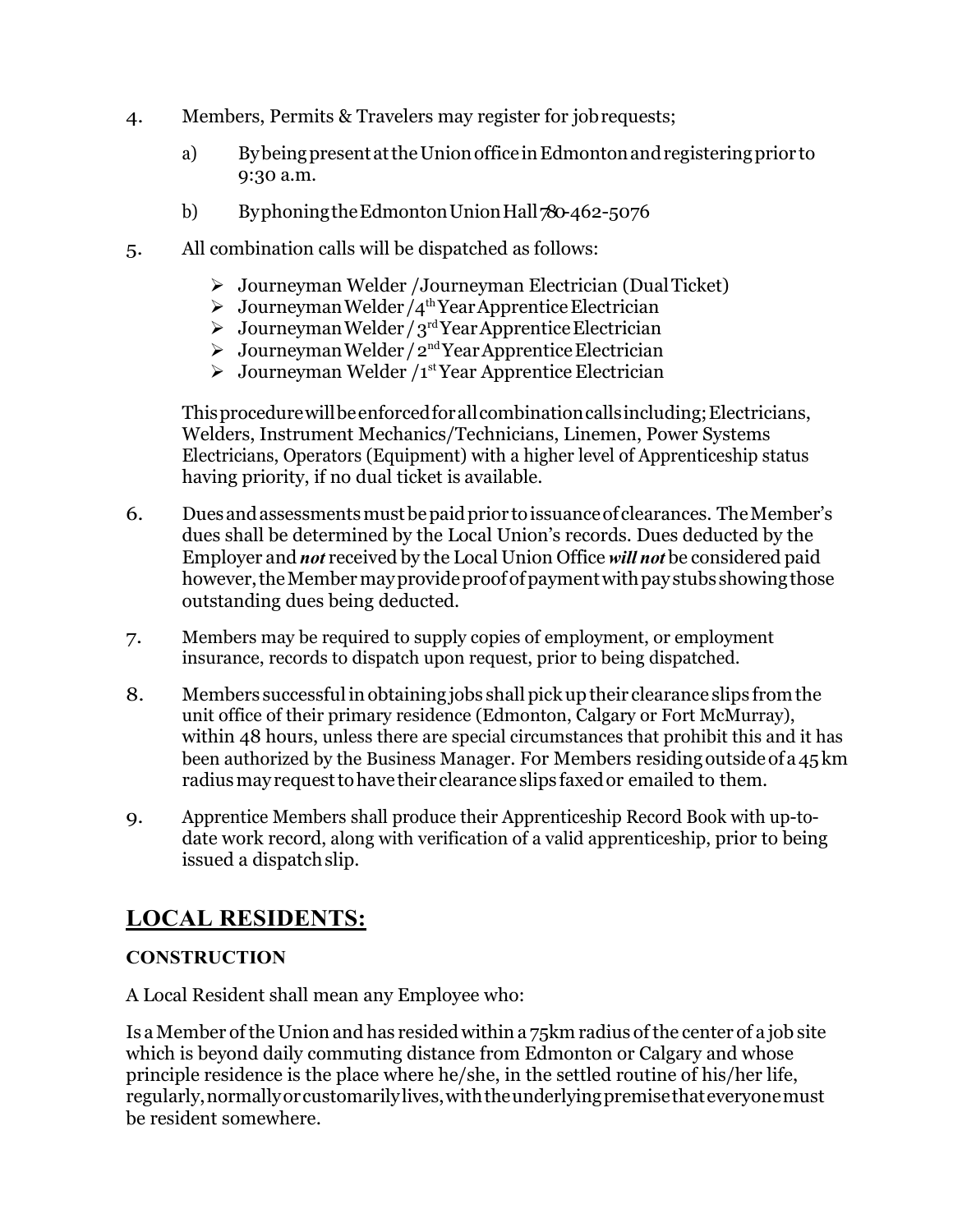- 4. Members, Permits & Travelers may register for jobrequests;
	- a) BybeingpresentattheUnionofficeinEdmontonandregisteringprior to 9:30 a.m.
	- b) Byphoning the Edmonton Union Hall 780-462-5076
- 5. All combination calls will be dispatched as follows:
	- Journeyman Welder /Journeyman Electrician (DualTicket)
	- $\triangleright$  Journeyman Welder/4<sup>th</sup> Year Apprentice Electrician
	- $\triangleright$  Journeyman Welder / 3<sup>rd</sup> Year Apprentice Electrician
	- $\triangleright$  Journeyman Welder/2<sup>nd</sup> Year Apprentice Electrician
	- $\triangleright$  Journeyman Welder /1<sup>st</sup> Year Apprentice Electrician

Thisprocedurewillbeenforcedforallcombinationcallsincluding;Electricians, Welders, Instrument Mechanics/Technicians, Linemen, Power Systems Electricians, Operators (Equipment) with a higher level of Apprenticeship status having priority, if no dual ticket is available.

- 6. Duesandassessmentsmustbepaidprior toissuanceof clearances. TheMember's dues shall be determined by the Local Union's records. Dues deducted by the Employer and *not* received by the Local Union Office *will not* be considered paid however, the Member may provide proof of payment with pay stubs showing those outstanding dues being deducted.
- 7. Members may be required to supply copies of employment, or employment insurance, records to dispatch upon request, prior to being dispatched.
- 8. Members successfulinobtaining jobs shall pick uptheir clearance slips fromthe unit office of their primary residence (Edmonton, Calgary or Fort McMurray), within 48 hours, unless there are special circumstances that prohibit this and it has been authorized by the Business Manager. For Members residingoutsideofa45km radiusmay requesttohave their clearance slips faxedor emailed to them.
- 9. Apprentice Members shall produce their Apprenticeship Record Book with up-todate work record, along with verification of a valid apprenticeship, prior to being issued a dispatch slip.

#### **LOCAL RESIDENTS:**

#### **CONSTRUCTION**

A Local Resident shall mean any Employee who:

Is aMember ofthe Union and has residedwithin a 75km radius ofthe center of a job site which is beyond daily commuting distance from Edmonton or Calgary and whose principle residence is the place where he/she, in the settled routine of his/her life, regularly,normallyorcustomarilylives,withtheunderlyingpremisethateveryonemust be resident somewhere.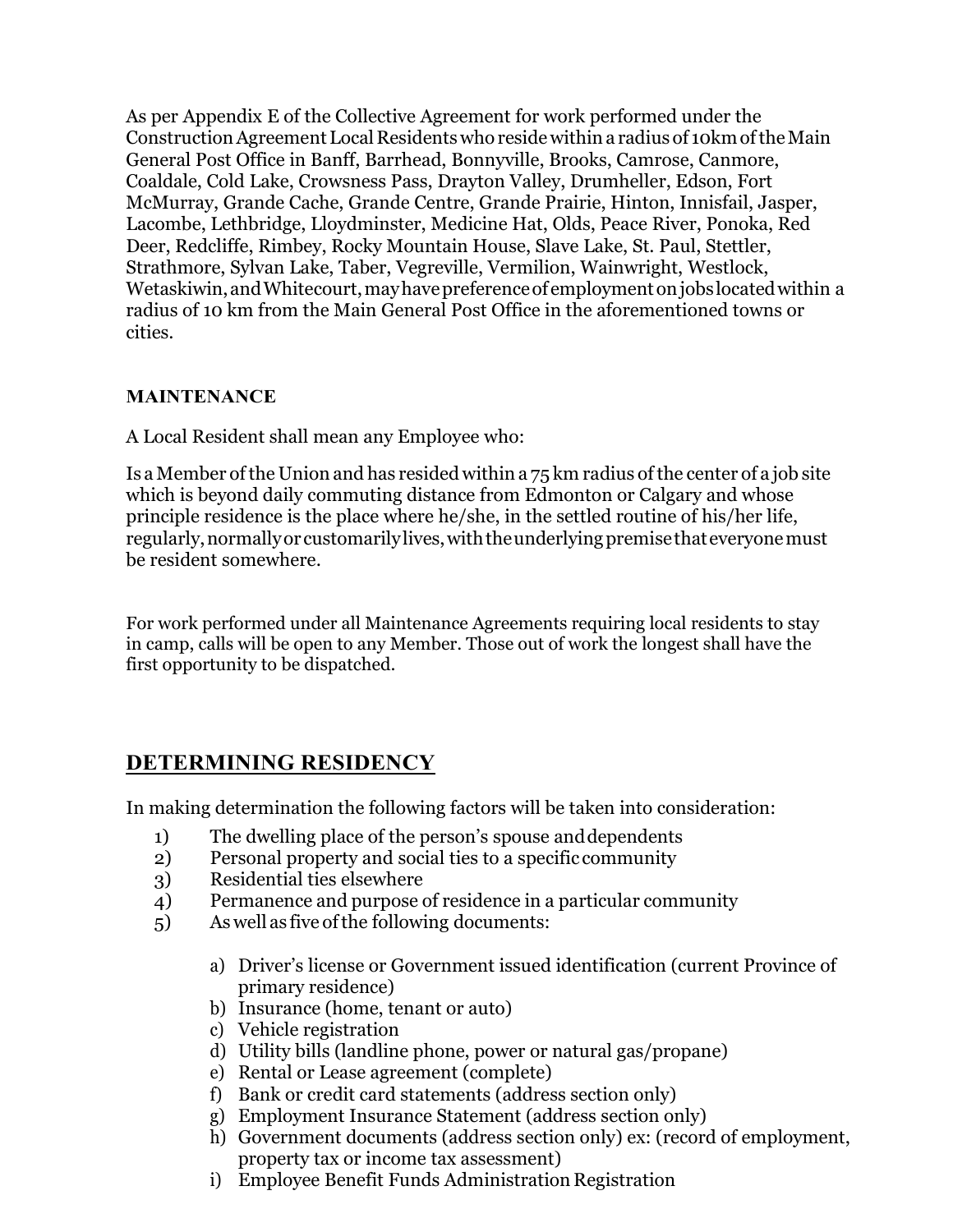As per Appendix E of the Collective Agreement for work performed under the Construction Agreement Local Residents who reside within a radius of 10km of the Main General Post Office in Banff, Barrhead, Bonnyville, Brooks, Camrose, Canmore, Coaldale, Cold Lake, Crowsness Pass, Drayton Valley, Drumheller, Edson, Fort McMurray, Grande Cache, Grande Centre, Grande Prairie, Hinton, Innisfail, Jasper, Lacombe, Lethbridge, Lloydminster, Medicine Hat, Olds, Peace River, Ponoka, Red Deer, Redcliffe, Rimbey, Rocky Mountain House, Slave Lake, St. Paul, Stettler, Strathmore, Sylvan Lake, Taber, Vegreville, Vermilion, Wainwright, Westlock, Wetaskiwin,andWhitecourt,mayhavepreferenceof employmentonjobs locatedwithin a radius of 10 km from the Main General Post Office in the aforementioned towns or cities.

#### **MAINTENANCE**

A Local Resident shall mean any Employee who:

Is a Member ofthe Union and has resided within a 75 km radius ofthe center of a job site which is beyond daily commuting distance from Edmonton or Calgary and whose principle residence is the place where he/she, in the settled routine of his/her life, regularly, normally or customarily lives, with the underlying premise that everyone must be resident somewhere.

For work performed under all Maintenance Agreements requiring local residents to stay in camp, calls will be open to any Member. Those out of work the longest shall have the first opportunity to be dispatched.

#### **DETERMINING RESIDENCY**

In making determination the following factors will be taken into consideration:

- 1) The dwelling place of the person's spouse anddependents
- 2) Personal property and social ties to a specific community
- 3) Residential ties elsewhere
- 4) Permanence and purpose of residence in a particular community
- 5) As well as five of the following documents:
	- a) Driver's license or Government issued identification (current Province of primary residence)
	- b) Insurance (home, tenant or auto)
	- c) Vehicle registration
	- d) Utility bills (landline phone, power or natural gas/propane)
	- e) Rental or Lease agreement (complete)
	- f) Bank or credit card statements (address section only)
	- g) Employment Insurance Statement (address section only)
	- h) Government documents (address section only) ex: (record of employment, property tax or income tax assessment)
	- i) Employee Benefit Funds Administration Registration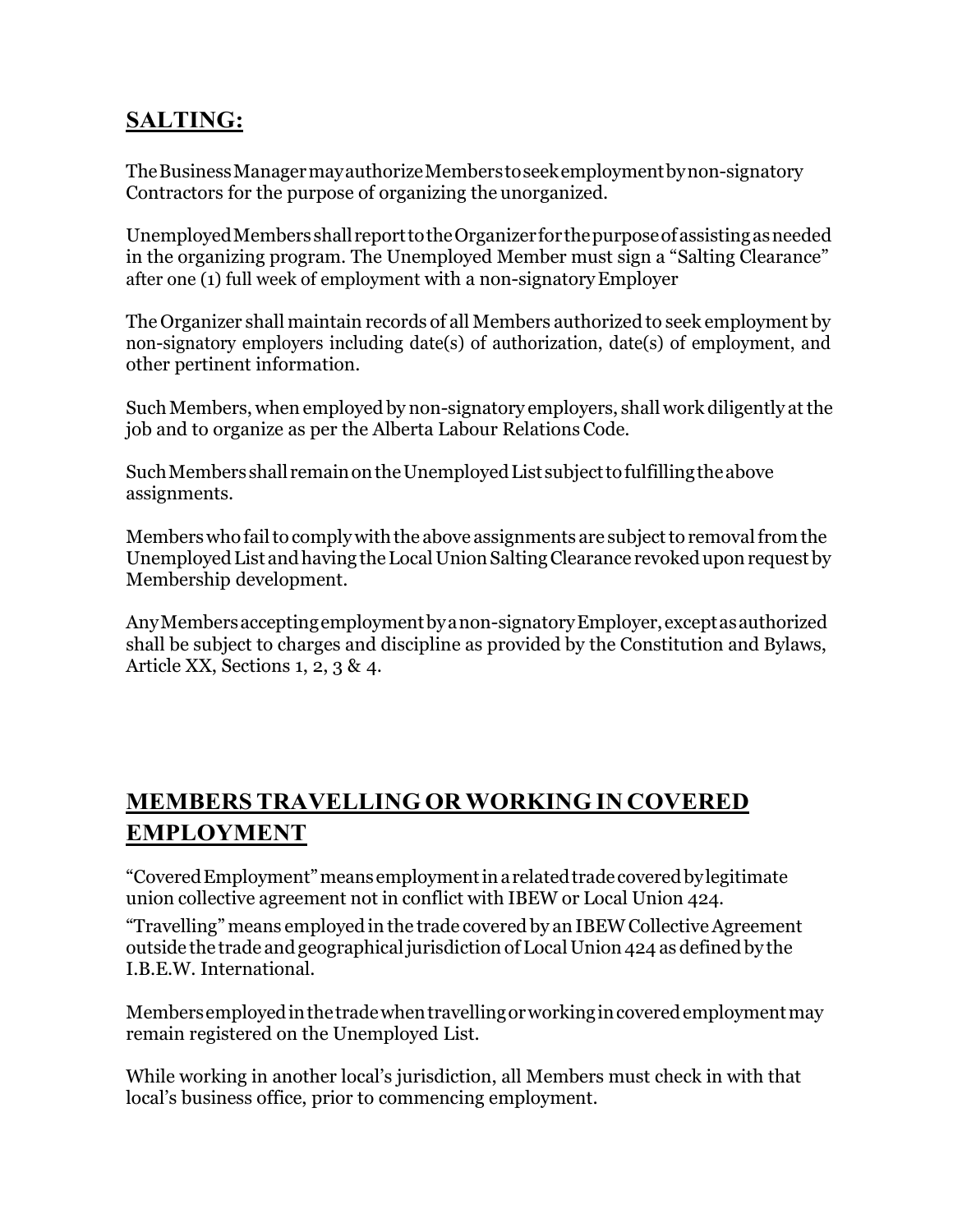### **SALTING:**

TheBusinessManagermayauthorizeMemberstoseekemploymentbynon-signatory Contractors for the purpose of organizing the unorganized.

UnemployedMembers shall reporttotheOrganizerforthepurposeofassistingasneeded in the organizing program. The Unemployed Member must sign a "Salting Clearance" after one (1) full week of employment with a non-signatoryEmployer

The Organizer shall maintain records of all Members authorized to seek employment by non-signatory employers including date(s) of authorization, date(s) of employment, and other pertinent information.

Such Members, when employed by non-signatory employers, shall work diligently at the job and to organize as per the Alberta Labour RelationsCode.

Such Members shall remain on the Unemployed List subject to fulfilling the above assignments.

Members who fail to comply with the above assignments are subject to removal from the UnemployedList andhaving theLocalUnionSaltingClearance revokeduponrequest by Membership development.

AnyMembersacceptingemploymentbyanon-signatoryEmployer,exceptasauthorized shall be subject to charges and discipline as provided by the Constitution and Bylaws, Article XX, Sections 1, 2, 3 & 4.

## **MEMBERS TRAVELLING OR WORKING IN COVERED EMPLOYMENT**

"CoveredEmployment"meansemploymentinarelatedtradecoveredbylegitimate union collective agreement not in conflict with IBEW or Local Union 424.

"Travelling" means employed in the trade covered by an IBEWCollectiveAgreement outside the trade andgeographicaljurisdiction ofLocalUnion 424 as defined by the I.B.E.W. International.

Membersemployedinthetradewhentravellingorworkingincoveredemploymentmay remain registered on the Unemployed List.

While working in another local's jurisdiction, all Members must check in with that local's business office, prior to commencing employment.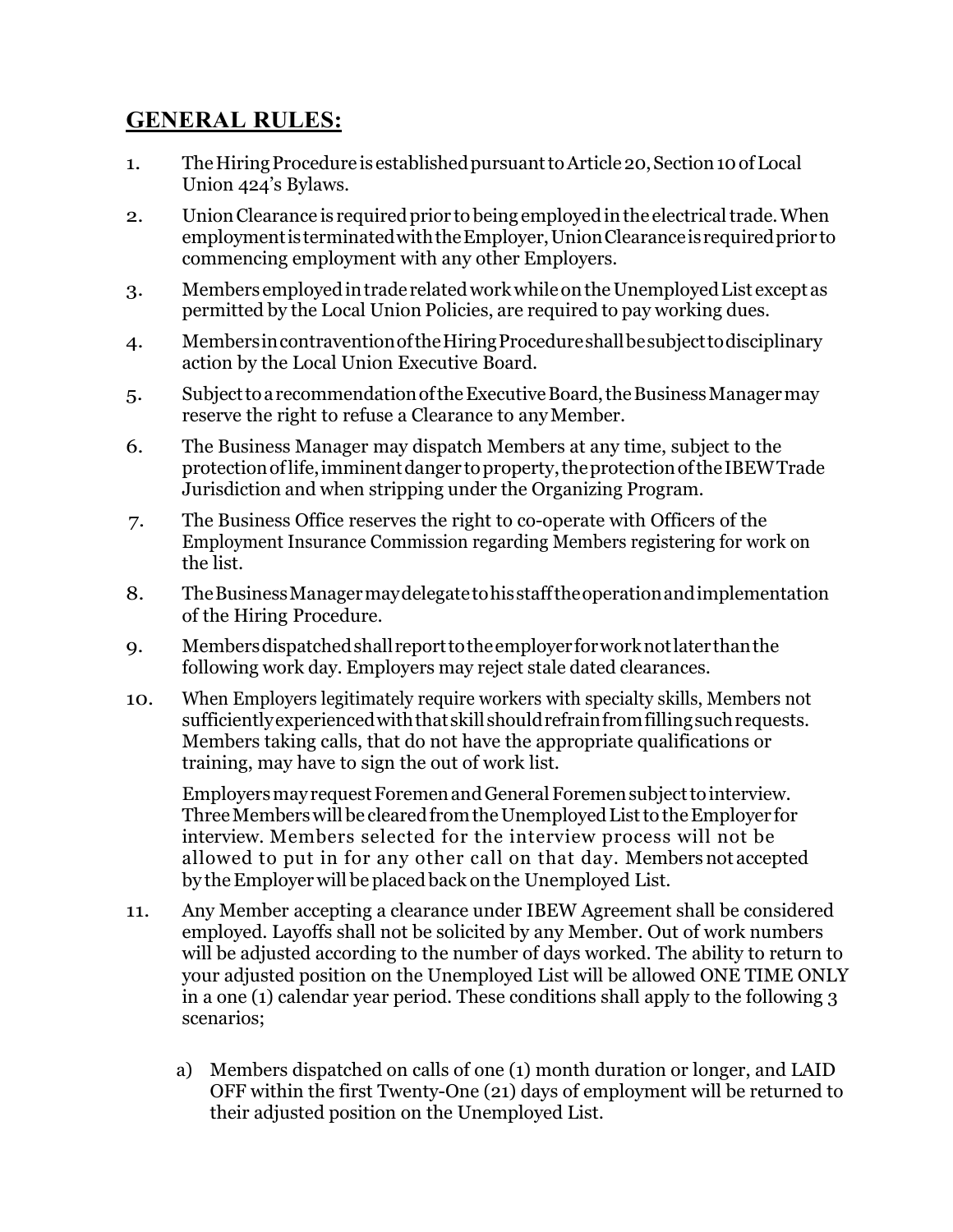#### **GENERAL RULES:**

- 1. The Hiring Procedure is established pursuant to Article 20, Section 10 of Local Union 424's Bylaws.
- 2. Union Clearance is required prior to being employed in the electrical trade. When employmentis terminatedwiththeEmployer,UnionClearanceisrequiredprior to commencing employment with any other Employers.
- 3. Members employedintrade relatedworkwhileontheUnemployedList exceptas permitted by the Local Union Policies, are required to pay working dues.
- 4. MembersincontraventionoftheHiringProcedureshallbesubjecttodisciplinary action by the Local Union Executive Board.
- 5. SubjecttoarecommendationoftheExecutiveBoard,theBusinessManagermay reserve the right to refuse a Clearance to any Member.
- 6. The Business Manager may dispatch Members at any time, subject to the protectionoflife,imminentdanger toproperty,theprotectionoftheIBEWTrade Jurisdiction and when stripping under the Organizing Program.
- 7. The Business Office reserves the right to co-operate with Officers of the Employment Insurance Commission regarding Members registering for work on the list.
- 8. TheBusinessManagermaydelegatetohisstafftheoperationandimplementation of the Hiring Procedure.
- 9. Membersdispatchedshall reporttotheemployerforworknotlaterthanthe following work day. Employers may reject stale dated clearances.
- 10. When Employers legitimately require workers with specialty skills, Members not sufficiently experienced with that skill should refrain from filling such requests. Members taking calls, that do not have the appropriate qualifications or training, may have to sign the out of work list.

Employers may request Foremen and General Foremen subject to interview. Three Members will be cleared from the Unemployed List to the Employer for interview. Members selected for the interview process will not be allowed to put in for any other call on that day. Members not accepted by theEmployer will be placed back onthe Unemployed List.

- 11. Any Member accepting a clearance under IBEW Agreement shall be considered employed. Layoffs shall not be solicited by any Member. Out of work numbers will be adjusted according to the number of days worked. The ability to return to your adjusted position on the Unemployed List will be allowed ONE TIME ONLY in a one (1) calendar year period. These conditions shall apply to the following 3 scenarios;
	- a) Members dispatched on calls of one (1) month duration or longer, and LAID OFF within the first Twenty-One (21) days of employment will be returned to their adjusted position on the Unemployed List.